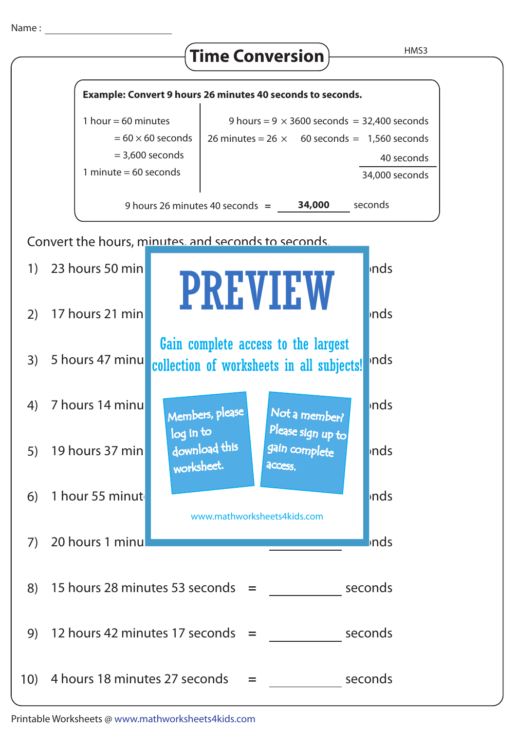